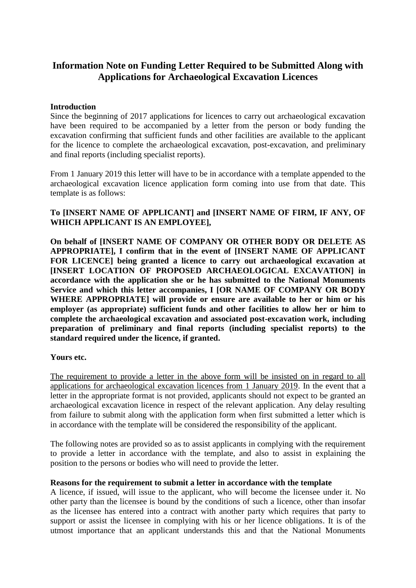# **Information Note on Funding Letter Required to be Submitted Along with Applications for Archaeological Excavation Licences**

### **Introduction**

Since the beginning of 2017 applications for licences to carry out archaeological excavation have been required to be accompanied by a letter from the person or body funding the excavation confirming that sufficient funds and other facilities are available to the applicant for the licence to complete the archaeological excavation, post-excavation, and preliminary and final reports (including specialist reports).

From 1 January 2019 this letter will have to be in accordance with a template appended to the archaeological excavation licence application form coming into use from that date. This template is as follows:

## **To [INSERT NAME OF APPLICANT] and [INSERT NAME OF FIRM, IF ANY, OF WHICH APPLICANT IS AN EMPLOYEE],**

**On behalf of [INSERT NAME OF COMPANY OR OTHER BODY OR DELETE AS APPROPRIATE], I confirm that in the event of [INSERT NAME OF APPLICANT FOR LICENCE] being granted a licence to carry out archaeological excavation at [INSERT LOCATION OF PROPOSED ARCHAEOLOGICAL EXCAVATION] in accordance with the application she or he has submitted to the National Monuments Service and which this letter accompanies, I [OR NAME OF COMPANY OR BODY WHERE APPROPRIATE] will provide or ensure are available to her or him or his employer (as appropriate) sufficient funds and other facilities to allow her or him to complete the archaeological excavation and associated post-excavation work, including preparation of preliminary and final reports (including specialist reports) to the standard required under the licence, if granted.**

#### **Yours etc.**

The requirement to provide a letter in the above form will be insisted on in regard to all applications for archaeological excavation licences from 1 January 2019. In the event that a letter in the appropriate format is not provided, applicants should not expect to be granted an archaeological excavation licence in respect of the relevant application. Any delay resulting from failure to submit along with the application form when first submitted a letter which is in accordance with the template will be considered the responsibility of the applicant.

The following notes are provided so as to assist applicants in complying with the requirement to provide a letter in accordance with the template, and also to assist in explaining the position to the persons or bodies who will need to provide the letter.

#### **Reasons for the requirement to submit a letter in accordance with the template**

A licence, if issued, will issue to the applicant, who will become the licensee under it. No other party than the licensee is bound by the conditions of such a licence, other than insofar as the licensee has entered into a contract with another party which requires that party to support or assist the licensee in complying with his or her licence obligations. It is of the utmost importance that an applicant understands this and that the National Monuments